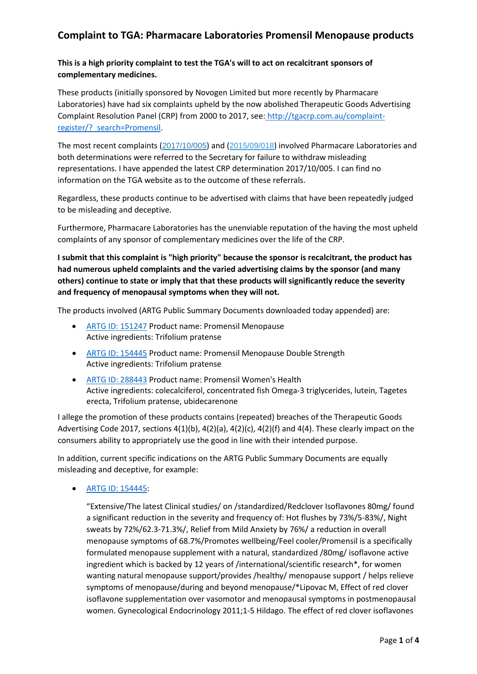# **This is a high priority complaint to test the TGA's will to act on recalcitrant sponsors of complementary medicines.**

These products (initially sponsored by Novogen Limited but more recently by Pharmacare Laboratories) have had six complaints upheld by the now abolished Therapeutic Goods Advertising Complaint Resolution Panel (CRP) from 2000 to 2017, see: [http://tgacrp.com.au/complaint](http://tgacrp.com.au/complaint-register/?_search=Promensil)[register/?\\_search=Promensil.](http://tgacrp.com.au/complaint-register/?_search=Promensil)

The most recent complaints ([2017/10/005](http://www.tgacrp.com.au/complaint-register/?_search=Promensil&_id=3351)) and ([2015/09/018](http://www.tgacrp.com.au/complaint-register/?_search=Promensil&_id=2923)) involved Pharmacare Laboratories and both determinations were referred to the Secretary for failure to withdraw misleading representations. I have appended the latest CRP determination 2017/10/005. I can find no information on the TGA website as to the outcome of these referrals.

Regardless, these products continue to be advertised with claims that have been repeatedly judged to be misleading and deceptive.

Furthermore, Pharmacare Laboratories has the unenviable reputation of the having the most upheld complaints of any sponsor of complementary medicines over the life of the CRP.

**I submit that this complaint is "high priority" because the sponsor is recalcitrant, the product has had numerous upheld complaints and the varied advertising claims by the sponsor (and many others) continue to state or imply that that these products will significantly reduce the severity and frequency of menopausal symptoms when they will not.** 

The products involved (ARTG Public Summary Documents downloaded today appended) are:

- [ARTG ID: 151247](http://tga-search.clients.funnelback.com/s/search.html?collection=tga-artg&profile=record&meta_i=151247) Product name: Promensil Menopause Active ingredients: Trifolium pratense
- [ARTG ID: 154445](http://tga-search.clients.funnelback.com/s/search.html?collection=tga-artg&profile=record&meta_i=154445) Product name: Promensil Menopause Double Strength Active ingredients: Trifolium pratense
- [ARTG ID: 288443](http://tga-search.clients.funnelback.com/s/search.html?collection=tga-artg&profile=record&meta_i=288443) Product name: Promensil Women's Health Active ingredients: colecalciferol, concentrated fish Omega-3 triglycerides, lutein, Tagetes erecta, Trifolium pratense, ubidecarenone

I allege the promotion of these products contains (repeated) breaches of the Therapeutic Goods Advertising Code 2017, sections  $4(1)(b)$ ,  $4(2)(a)$ ,  $4(2)(c)$ ,  $4(2)(f)$  and  $4(4)$ . These clearly impact on the consumers ability to appropriately use the good in line with their intended purpose.

In addition, current specific indications on the ARTG Public Summary Documents are equally misleading and deceptive, for example:

• [ARTG ID: 154445:](http://tga-search.clients.funnelback.com/s/search.html?collection=tga-artg&profile=record&meta_i=154445)

"Extensive/The latest Clinical studies/ on /standardized/Redclover Isoflavones 80mg/ found a significant reduction in the severity and frequency of: Hot flushes by 73%/5-83%/, Night sweats by 72%/62.3-71.3%/, Relief from Mild Anxiety by 76%/ a reduction in overall menopause symptoms of 68.7%/Promotes wellbeing/Feel cooler/Promensil is a specifically formulated menopause supplement with a natural, standardized /80mg/ isoflavone active ingredient which is backed by 12 years of /international/scientific research\*, for women wanting natural menopause support/provides /healthy/ menopause support / helps relieve symptoms of menopause/during and beyond menopause/\*Lipovac M, Effect of red clover isoflavone supplementation over vasomotor and menopausal symptoms in postmenopausal women. Gynecological Endocrinology 2011;1-5 Hildago. The effect of red clover isoflavones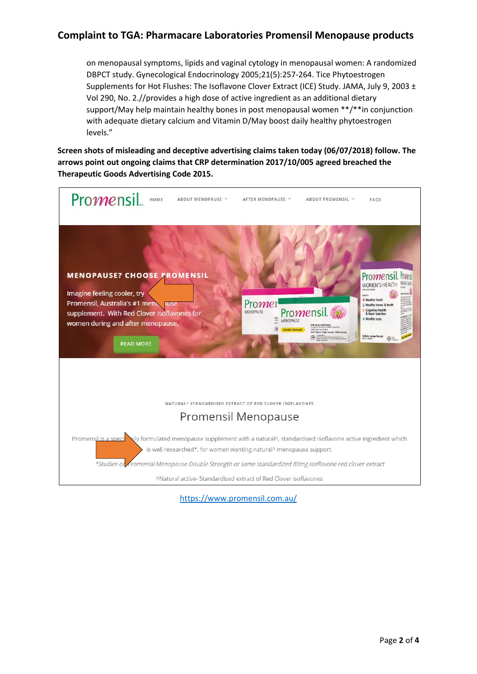on menopausal symptoms, lipids and vaginal cytology in menopausal women: A randomized DBPCT study. Gynecological Endocrinology 2005;21(5):257-264. Tice Phytoestrogen Supplements for Hot Flushes: The Isoflavone Clover Extract (ICE) Study. JAMA, July 9, 2003 ± Vol 290, No. 2.//provides a high dose of active ingredient as an additional dietary support/May help maintain healthy bones in post menopausal women \*\*/\*\*in conjunction with adequate dietary calcium and Vitamin D/May boost daily healthy phytoestrogen levels."

**Screen shots of misleading and deceptive advertising claims taken today (06/07/2018) follow. The arrows point out ongoing claims that CRP determination 2017/10/005 agreed breached the Therapeutic Goods Advertising Code 2015.**



<https://www.promensil.com.au/>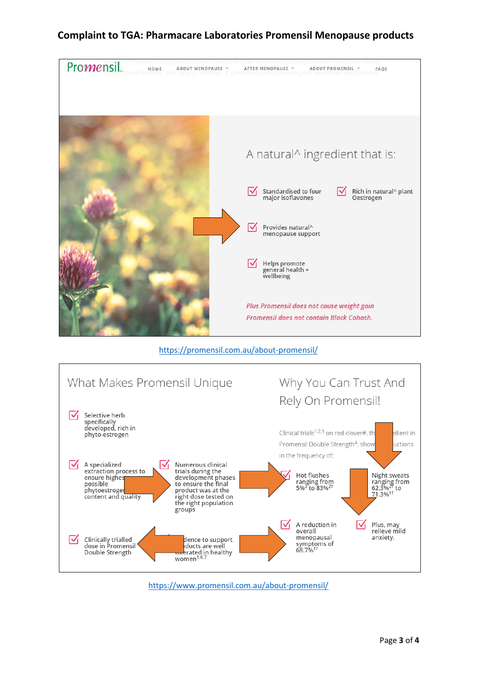

<https://promensil.com.au/about-promensil/>



<https://www.promensil.com.au/about-promensil/>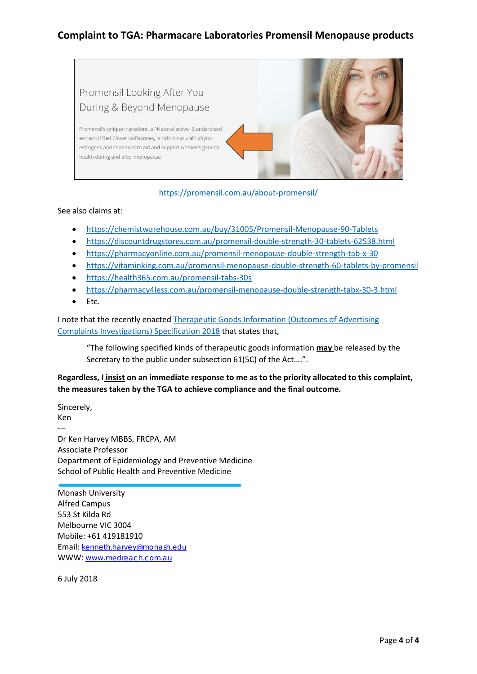

# <https://promensil.com.au/about-promensil/>

## See also claims at:

- <https://chemistwarehouse.com.au/buy/31005/Promensil-Menopause-90-Tablets>
- <https://discountdrugstores.com.au/promensil-double-strength-30-tablets-62538.html>
- <https://pharmacyonline.com.au/promensil-menopause-double-strength-tab-x-30>
- <https://vitaminking.com.au/promensil-menopause-double-strength-60-tablets-by-promensil>
- <https://health365.com.au/promensil-tabs-30s>
- <https://pharmacy4less.com.au/promensil-menopause-double-strength-tabx-30-3.html>
- Etc.

I note that the recently enacted [Therapeutic Goods Information \(Outcomes of Advertising](https://legislation.gov.au/Details/F2015L01900)  [Complaints Investigations\) Specification 2018](https://legislation.gov.au/Details/F2015L01900) that states that,

"The following specified kinds of therapeutic goods information **may** be released by the Secretary to the public under subsection 61(5C) of the Act….".

**Regardless, I insist on an immediate response to me as to the priority allocated to this complaint, the measures taken by the TGA to achieve compliance and the final outcome.**

Sincerely, Ken --- Dr Ken Harvey MBBS, FRCPA, AM Associate Professor Department of Epidemiology and Preventive Medicine School of Public Health and Preventive Medicine

Monash University Alfred Campus 553 St Kilda Rd Melbourne VIC 3004 Mobile: +61 419181910 Email: [kenneth.harvey@monash.edu](mailto:kenneth.harvey@monash.edu) WWW: [www.medreach.com.au](http://www.medreach.com.au/)

6 July 2018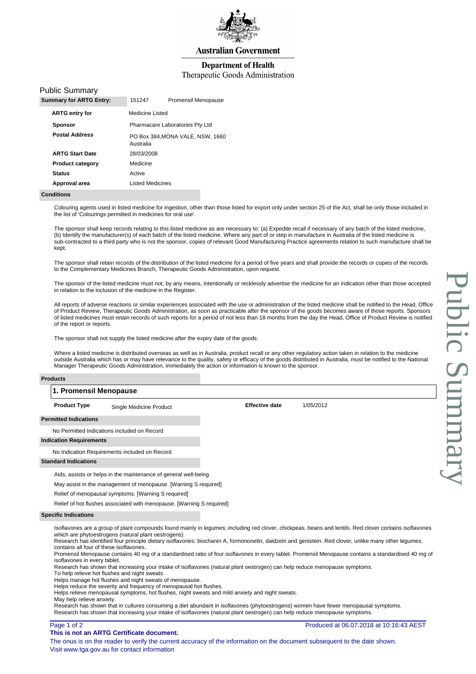

### **Department of Health**

### Therapeutic Goods Administration

|  | <b>Public Summary</b> |
|--|-----------------------|
|--|-----------------------|

| <b>Summary for ARTG Entry:</b> | 151247                  | Promensil Menopause              |
|--------------------------------|-------------------------|----------------------------------|
| <b>ARTG entry for</b>          | Medicine Listed         |                                  |
| <b>Sponsor</b>                 |                         | Pharmacare Laboratories Pty Ltd  |
| <b>Postal Address</b>          | Australia               | PO Box 384, MONA VALE, NSW, 1660 |
| <b>ARTG Start Date</b>         | 28/03/2008              |                                  |
| <b>Product category</b>        | Medicine                |                                  |
| <b>Status</b>                  | Active                  |                                  |
| Approval area                  | <b>Listed Medicines</b> |                                  |
|                                |                         |                                  |

#### **Conditions**

Colouring agents used in listed medicine for ingestion, other than those listed for export only under section 25 of the Act, shall be only those included in the list of 'Colourings permitted in medicines for oral use'.

The sponsor shall keep records relating to this listed medicine as are necessary to: (a) Expedite recall if necessary of any batch of the listed medicine, (b) Identify the manufacturer(s) of each batch of the listed medicine. Where any part of or step in manufacture in Australia of the listed medicine is sub-contracted to a third party who is not the sponsor, copies of relevant Good Manufacturing Practice agreements relation to such manufacture shall be kept.

The sponsor shall retain records of the distribution of the listed medicine for a period of five years and shall provide the records or copies of the records to the Complementary Medicines Branch, Therapeutic Goods Administration, upon request.

The sponsor of the listed medicine must not, by any means, intentionally or recklessly advertise the medicine for an indication other than those accepted in relation to the inclusion of the medicine in the Register.

All reports of adverse reactions or similar experiences associated with the use or administration of the listed medicine shall be notified to the Head, Office of Product Review, Therapeutic Goods Administration, as soon as practicable after the sponsor of the goods becomes aware of those reports. Sponsors of listed medicines must retain records of such reports for a period of not less than 18 months from the day the Head, Office of Product Review is notified of the report or reports.

The sponsor shall not supply the listed medicine after the expiry date of the goods.

Where a listed medicine is distributed overseas as well as in Australia, product recall or any other regulatory action taken in relation to the medicine outside Australia which has or may have relevance to the quality, safety or efficacy of the goods distributed in Australia, must be notified to the National Manager Therapeutic Goods Administration, immediately the action or information is known to the sponsor.

#### **Products**

### **1. Promensil Menopause**

**Product Type** Single Medicine Product **Superint Contract Effective date** 1/05/2012

#### **Permitted Indications**

No Permitted Indications included on Record

# **Indication Requirements**

No Indication Requirements included on Record

#### **Standard Indications**

Aids, assists or helps in the maintenance of general well-being

May assist in the management of menopause. [Warning S required]

Relief of menopausal symptoms. [Warning S required]

Relief of hot flushes associated with menopause. [Warning S required]

#### **Specific Indications**

Isoflavones are a group of plant compounds found mainly in legumes; including red clover, chickpeas, beans and lentils. Red clover contains isoflavones which are phytoestrogens (natural plant oestrogens).

Research has identified four principle dietary isoflavones: biochanin A, formononetin, daidzein and genistein. Red clover, unlike many other legumes, contains all four of these isoflavones.

Promensil Menopause contains 40 mg of a standardised ratio of four isoflavones in every tablet. Promensil Menopause contains a standardised 40 mg of isoflavones in every tablet.

Research has shown that increasing your intake of isoflavones (natural plant oestrogen) can help reduce menopause symptoms.

To help relieve hot flushes and night sweats.

Helps manage hot flushes and night sweats of menopause.

Helps reduce the severity and frequency of menopausal hot flushes.

Helps relieve menopausal symptoms, hot flushes, night sweats and mild anxiety and night sweats.

May help relieve anxiety.

Research has shown that in cultures consuming a diet abundant in isoflavones (phytoestrogens) women have fewer menopausal symptoms. Research has shown that increasing your intake of isoflavones (natural plant oestrogen) can help reduce menopause symptoms.

### Page 1 of 2

#### **This is not an ARTG Certificate document.**

Produced at 06.07.2018 at 10:16:43 AEST

Public Summary **Public Sumnt** 

The onus is on the reader to verify the current accuracy of the information on the document subsequent to the date shown. Visit www.tga.gov.au for contact information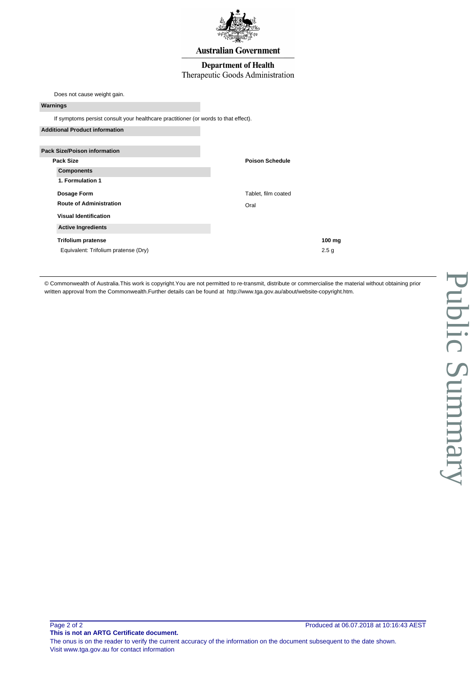

### **Department of Health**

## Therapeutic Goods Administration

Does not cause weight gain.

### **Warnings**

If symptoms persist consult your healthcare practitioner (or words to that effect).

| <b>Additional Product information</b> |                        |
|---------------------------------------|------------------------|
| <b>Pack Size/Poison information</b>   |                        |
| Pack Size                             | <b>Poison Schedule</b> |
| <b>Components</b>                     |                        |
| 1. Formulation 1                      |                        |
| Dosage Form                           | Tablet, film coated    |
| <b>Route of Administration</b>        | Oral                   |
| <b>Visual Identification</b>          |                        |
| <b>Active Ingredients</b>             |                        |
| <b>Trifolium pratense</b>             | $100$ mg               |
| Equivalent: Trifolium pratense (Dry)  | 2.5 <sub>g</sub>       |

© Commonwealth of Australia.This work is copyright.You are not permitted to re-transmit, distribute or commercialise the material without obtaining prior written approval from the Commonwealth.Further details can be found at [http://www.tga.gov.au/about/website-copyright.htm.](http://www.tga.gov.au/about/website-copyright.htm)

The onus is on the reader to verify the current accuracy of the information on the document subsequent to the date shown. Visit www.tga.gov.au for contact information

**This is not an ARTG Certificate document.**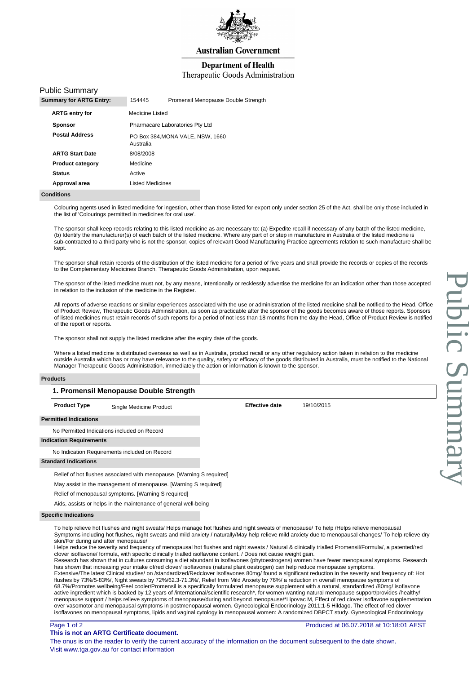

### **Department of Health**

### Therapeutic Goods Administration

### Public Summary

| <b>Summary for ARTG Entry:</b> | 154445                  | Promensil Menopause Double Strength |
|--------------------------------|-------------------------|-------------------------------------|
| <b>ARTG entry for</b>          | Medicine Listed         |                                     |
| <b>Sponsor</b>                 |                         | Pharmacare Laboratories Pty Ltd     |
| <b>Postal Address</b>          | Australia               | PO Box 384, MONA VALE, NSW, 1660    |
| <b>ARTG Start Date</b>         | 8/08/2008               |                                     |
| <b>Product category</b>        | Medicine                |                                     |
| <b>Status</b>                  | Active                  |                                     |
| Approval area                  | <b>Listed Medicines</b> |                                     |
|                                |                         |                                     |

#### **Conditions**

Colouring agents used in listed medicine for ingestion, other than those listed for export only under section 25 of the Act, shall be only those included in the list of 'Colourings permitted in medicines for oral use'.

The sponsor shall keep records relating to this listed medicine as are necessary to: (a) Expedite recall if necessary of any batch of the listed medicine, (b) Identify the manufacturer(s) of each batch of the listed medicine. Where any part of or step in manufacture in Australia of the listed medicine is sub-contracted to a third party who is not the sponsor, copies of relevant Good Manufacturing Practice agreements relation to such manufacture shall be kept.

The sponsor shall retain records of the distribution of the listed medicine for a period of five years and shall provide the records or copies of the records to the Complementary Medicines Branch, Therapeutic Goods Administration, upon request.

The sponsor of the listed medicine must not, by any means, intentionally or recklessly advertise the medicine for an indication other than those accepted in relation to the inclusion of the medicine in the Register.

All reports of adverse reactions or similar experiences associated with the use or administration of the listed medicine shall be notified to the Head, Office of Product Review, Therapeutic Goods Administration, as soon as practicable after the sponsor of the goods becomes aware of those reports. Sponsors of listed medicines must retain records of such reports for a period of not less than 18 months from the day the Head, Office of Product Review is notified of the report or reports.

The sponsor shall not supply the listed medicine after the expiry date of the goods.

Where a listed medicine is distributed overseas as well as in Australia, product recall or any other regulatory action taken in relation to the medicine outside Australia which has or may have relevance to the quality, safety or efficacy of the goods distributed in Australia, must be notified to the National Manager Therapeutic Goods Administration, immediately the action or information is known to the sponsor.

#### **Products**

### **1. Promensil Menopause Double Strength**

**Product Type** Single Medicine Product **Effective date** 19/10/2015

**Permitted Indications**

No Permitted Indications included on Record

#### **Indication Requirements**

No Indication Requirements included on Record

#### **Standard Indications**

Relief of hot flushes associated with menopause. [Warning S required]

May assist in the management of menopause. [Warning S required]

Relief of menopausal symptoms. [Warning S required]

Aids, assists or helps in the maintenance of general well-being

#### **Specific Indications**

To help relieve hot flushes and night sweats/ Helps manage hot flushes and night sweats of menopause/ To help /Helps relieve menopausal Symptoms including hot flushes, night sweats and mild anxiety / naturally/May help relieve mild anxiety due to menopausal changes/ To help relieve dry skin/For during and after menopause/

Helps reduce the severity and frequency of menopausal hot flushes and night sweats / Natural & clinically trialled Promensil/Formula/, a patented/red clover isoflavone/ formula, with specific clinically trialled isoflavone content. / Does not cause weight gain.

Research has shown that in cultures consuming a diet abundant in isoflavones (phytoestrogens) women have fewer menopausal symptoms. Research has shown that increasing your intake of/red clover/ isoflavones (natural plant oestrogen) can help reduce menopause symptoms.

Extensive/The latest Clinical studies/ on /standardized/Redclover Isoflavones 80mg/ found a significant reduction in the severity and frequency of: Hot flushes by 73%/5-83%/, Night sweats by 72%/62.3-71.3%/, Relief from Mild Anxiety by 76%/ a reduction in overall menopause symptoms of 68.7%/Promotes wellbeing/Feel cooler/Promensil is a specifically formulated menopause supplement with a natural, standardized /80mg/ isoflavone active ingredient which is backed by 12 years of /international/scientific research\*, for women wanting natural menopause support/provides /healthy/ menopause support / helps relieve symptoms of menopause/during and beyond menopause/\*Lipovac M, Effect of red clover isoflavone supplementation over vasomotor and menopausal symptoms in postmenopausal women. Gynecological Endocrinology 2011;1-5 Hildago. The effect of red clover isoflavones on menopausal symptoms, lipids and vaginal cytology in menopausal women: A randomized DBPCT study. Gynecological Endocrinology

### Page 1 of 2

#### **This is not an ARTG Certificate document.**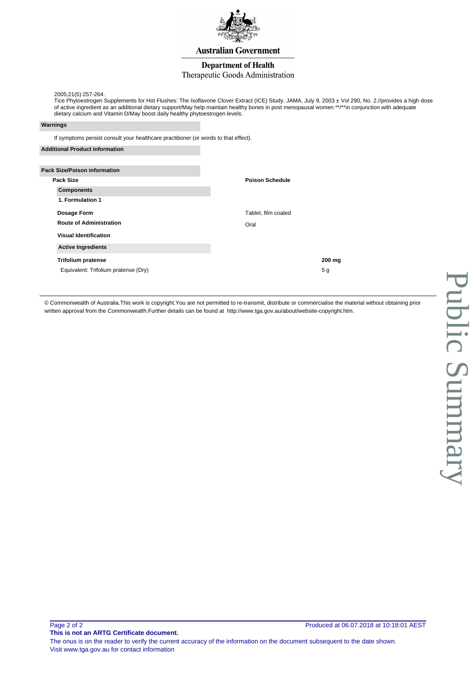

### **Department of Health**

### Therapeutic Goods Administration

2005;21(5):257-264.

Tice Phytoestrogen Supplements for Hot Flushes: The Isoflavone Clover Extract (ICE) Study. JAMA, July 9, 2003 ± Vol 290, No. 2.//provides a high dose of active ingredient as an additional dietary support/May help maintain healthy bones in post menopausal women \*\*/\*\*in conjunction with adequate dietary calcium and Vitamin D/May boost daily healthy phytoestrogen levels.

#### **Warnings**

If symptoms persist consult your healthcare practitioner (or words to that effect).

| <b>Additional Product information</b> |                        |                |
|---------------------------------------|------------------------|----------------|
|                                       |                        |                |
| <b>Pack Size/Poison information</b>   |                        |                |
| Pack Size                             | <b>Poison Schedule</b> |                |
| <b>Components</b>                     |                        |                |
| 1. Formulation 1                      |                        |                |
| Dosage Form                           | Tablet, film coated    |                |
| <b>Route of Administration</b>        | Oral                   |                |
| <b>Visual Identification</b>          |                        |                |
| <b>Active Ingredients</b>             |                        |                |
| <b>Trifolium pratense</b>             |                        | 200 mg         |
| Equivalent: Trifolium pratense (Dry)  |                        | 5 <sub>g</sub> |

© Commonwealth of Australia.This work is copyright.You are not permitted to re-transmit, distribute or commercialise the material without obtaining prior written approval from the Commonwealth.Further details can be found at [http://www.tga.gov.au/about/website-copyright.htm.](http://www.tga.gov.au/about/website-copyright.htm)

**This is not an ARTG Certificate document.**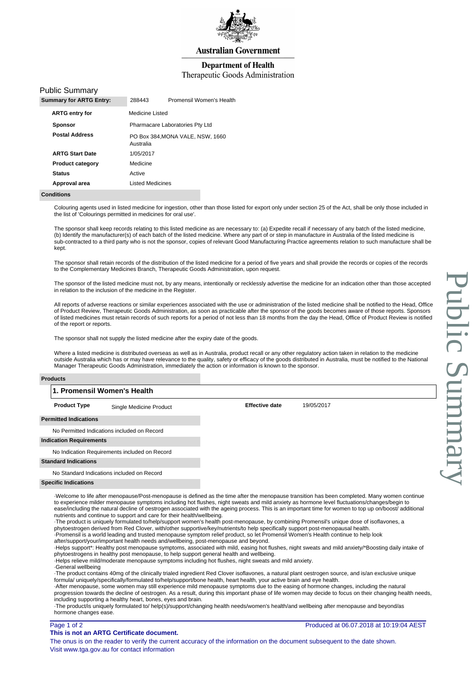

### **Department of Health**

### Therapeutic Goods Administration

### Public Summary

| <b>Summary for ARTG Entry:</b> | 288443                  | Promensil Women's Health         |
|--------------------------------|-------------------------|----------------------------------|
| <b>ARTG entry for</b>          | Medicine Listed         |                                  |
| <b>Sponsor</b>                 |                         | Pharmacare Laboratories Pty Ltd  |
| <b>Postal Address</b>          | Australia               | PO Box 384, MONA VALE, NSW, 1660 |
| <b>ARTG Start Date</b>         | 1/05/2017               |                                  |
| <b>Product category</b>        | Medicine                |                                  |
| <b>Status</b>                  | Active                  |                                  |
| Approval area                  | <b>Listed Medicines</b> |                                  |
|                                |                         |                                  |

#### **Conditions**

Colouring agents used in listed medicine for ingestion, other than those listed for export only under section 25 of the Act, shall be only those included in the list of 'Colourings permitted in medicines for oral use'.

The sponsor shall keep records relating to this listed medicine as are necessary to: (a) Expedite recall if necessary of any batch of the listed medicine, (b) Identify the manufacturer(s) of each batch of the listed medicine. Where any part of or step in manufacture in Australia of the listed medicine is sub-contracted to a third party who is not the sponsor, copies of relevant Good Manufacturing Practice agreements relation to such manufacture shall be kept.

The sponsor shall retain records of the distribution of the listed medicine for a period of five years and shall provide the records or copies of the records to the Complementary Medicines Branch, Therapeutic Goods Administration, upon request.

The sponsor of the listed medicine must not, by any means, intentionally or recklessly advertise the medicine for an indication other than those accepted in relation to the inclusion of the medicine in the Register.

All reports of adverse reactions or similar experiences associated with the use or administration of the listed medicine shall be notified to the Head, Office of Product Review, Therapeutic Goods Administration, as soon as practicable after the sponsor of the goods becomes aware of those reports. Sponsors of listed medicines must retain records of such reports for a period of not less than 18 months from the day the Head, Office of Product Review is notified of the report or reports.

The sponsor shall not supply the listed medicine after the expiry date of the goods.

Where a listed medicine is distributed overseas as well as in Australia, product recall or any other regulatory action taken in relation to the medicine outside Australia which has or may have relevance to the quality, safety or efficacy of the goods distributed in Australia, must be notified to the National Manager Therapeutic Goods Administration, immediately the action or information is known to the sponsor.

#### **Products**

## **1. Promensil Women's Health**

**Product Type** Single Medicine Product **Effective date** 19/05/2017

**Permitted Indications**

No Permitted Indications included on Record

### **Indication Requirements**

No Indication Requirements included on Record

#### **Standard Indications**

No Standard Indications included on Record

#### **Specific Indications**

· Welcome to life after menopause/Post-menopause is defined as the time after the menopause transition has been completed. Many women continue to experience milder menopause symptoms including hot flushes, night sweats and mild anxiety as hormone level fluctuations/changes/begin to ease/including the natural decline of oestrogen associated with the ageing process. This is an important time for women to top up on/boost/ additional nutrients and continue to support and care for their health/wellbeing.

· The product is uniquely formulated to/help/support women's health post-menopause, by combining Promensil's unique dose of isoflavones, a

phytoestrogen derived from Red Clover, with/other supportive/key/nutrients/to help specifically support post-menopausal health. Promensil is a world leading and trusted menopause symptom relief product, so let Promensil Women's Health continue to help look

after/support/your/important health needs and/wellbeing, post-menopause and beyond.

· Helps support\*: Healthy post menopause symptoms, associated with mild, easing hot flushes, night sweats and mild anxiety/\*Boosting daily intake of phytoestrogens in healthy post menopause, to help support general health and wellbeing.

· Helps relieve mild/moderate menopause symptoms including hot flushes, night sweats and mild anxiety.

· General wellbeing

· The product contains 40mg of the clinically trialed ingredient Red Clover isoflavones, a natural plant oestrogen source, and is/an exclusive unique formula/ uniquely/specifically/formulated to/help/support/bone health, heart health, your active brain and eye health.

· After menopause, some women may still experience mild menopause symptoms due to the easing of hormone changes, including the natural progression towards the decline of oestrogen. As a result, during this important phase of life women may decide to focus on their changing health needs, including supporting a healthy heart, bones, eyes and brain.

· The product/is uniquely formulated to/ help(s)/support/changing health needs/women's health/and wellbeing after menopause and beyond/as hormone changes ease.

### Page 1 of 2

**This is not an ARTG Certificate document.**

The onus is on the reader to verify the current accuracy of the information on the document subsequent to the date shown. Visit www.tga.gov.au for contact information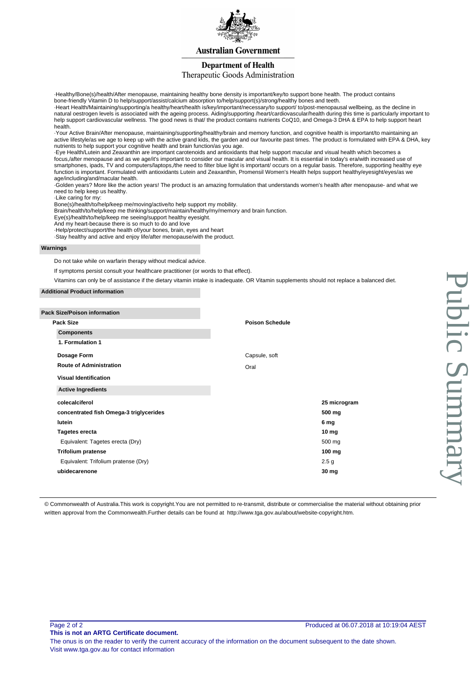

## **Department of Health**

## Therapeutic Goods Administration

· Healthy/Bone(s)/health/After menopause, maintaining healthy bone density is important/key/to support bone health. The product contains bone-friendly Vitamin D to help/support/assist/calcium absorption to/help/support(s)/strong/healthy bones and teeth.

· Heart Health/Maintaining/supporting/a healthy/heart/health is/key/important/necessary/to support/ to/post-menopausal wellbeing, as the decline in natural oestrogen levels is associated with the ageing process. Aiding/supporting /heart/cardiovascular/health during this time is particularly important to help support cardiovascular wellness. The good news is that/ the product contains nutrients CoQ10, and Omega-3 DHA & EPA to help support heart health.

· Your Active Brain/After menopause, maintaining/supporting/healthy/brain and memory function, and cognitive health is important/to maintaining an active lifestyle/as we age to keep up with the active grand kids, the garden and our favourite past times. The product is formulated with EPA & DHA, key nutrients to help support your cognitive health and brain function/as you age.

· Eye Health/Lutein and Zeaxanthin are important carotenoids and antioxidants that help support macular and visual health which becomes a focus,/after menopause and as we age/it's important to consider our macular and visual health. It is essential in today's era/with increased use of smartphones, ipads, TV and computers/laptops,/the need to filter blue light is important/ occurs on a regular basis. Therefore, supporting healthy eye function is important. Formulated with antioxidants Lutein and Zeaxanthin, Promensil Women's Health helps support healthy/eyesight/eyes/as we age/including/and/macular health.

· Golden years? More like the action years! The product is an amazing formulation that understands women's health after menopause- and what we need to help keep us healthy.

· Like caring for my:

Bone(s)/health/to/help/keep me/moving/active/to help support my mobility.

Brain/health/to/help/keep me thinking/support/maintain/healthy/my/memory and brain function.

Eye(s)/health/to/help/keep me seeing/support healthy eyesight.

And my heart-because there is so much to do and love

· Help/protect/support/the health of/your bones, brain, eyes and heart

· Stay healthy and active and enjoy life/after menopause/with the product.

#### **Warnings**

Do not take while on warfarin therapy without medical advice.

If symptoms persist consult your healthcare practitioner (or words to that effect).

Vitamins can only be of assistance if the dietary vitamin intake is inadequate. OR Vitamin supplements should not replace a balanced diet.

#### **Additional Product information**

| <b>Pack Size/Poison information</b>     |                        |
|-----------------------------------------|------------------------|
| <b>Pack Size</b>                        | <b>Poison Schedule</b> |
| <b>Components</b>                       |                        |
| 1. Formulation 1                        |                        |
| Dosage Form                             | Capsule, soft          |
| <b>Route of Administration</b>          | Oral                   |
| <b>Visual Identification</b>            |                        |
| <b>Active Ingredients</b>               |                        |
| colecalciferol                          | 25 microgram           |
| concentrated fish Omega-3 triglycerides | 500 mg                 |
| lutein                                  | 6 mg                   |
| <b>Tagetes erecta</b>                   | 10 <sub>mg</sub>       |
| Equivalent: Tagetes erecta (Dry)        | 500 mg                 |
| <b>Trifolium pratense</b>               | 100 mg                 |
| Equivalent: Trifolium pratense (Dry)    | 2.5 <sub>g</sub>       |
| ubidecarenone                           | 30 mg                  |
|                                         |                        |

© Commonwealth of Australia.This work is copyright.You are not permitted to re-transmit, distribute or commercialise the material without obtaining prior written approval from the Commonwealth.Further details can be found at [http://www.tga.gov.au/about/website-copyright.htm.](http://www.tga.gov.au/about/website-copyright.htm)

Page 2 of 2

**This is not an ARTG Certificate document.**

The onus is on the reader to verify the current accuracy of the information on the document subsequent to the date shown. Visit www.tga.gov.au for contact information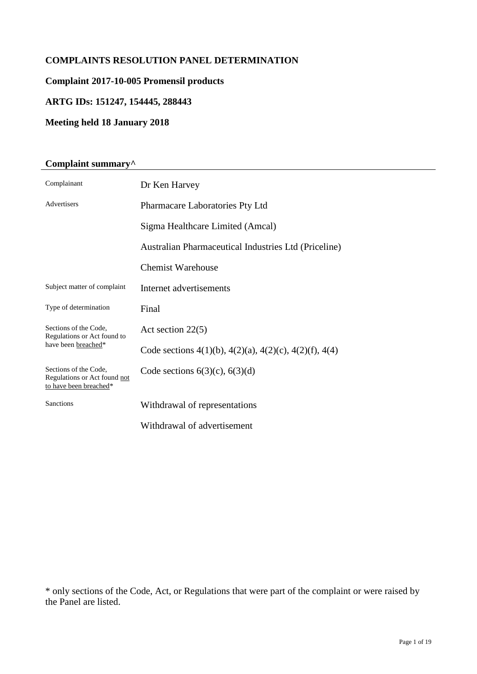# **COMPLAINTS RESOLUTION PANEL DETERMINATION**

# **Complaint 2017-10-005 Promensil products**

# **ARTG IDs: 151247, 154445, 288443**

# **Meeting held 18 January 2018**

# **Complaint summary^**

| Complainant                                                                     | Dr Ken Harvey                                                        |  |
|---------------------------------------------------------------------------------|----------------------------------------------------------------------|--|
| Advertisers                                                                     | Pharmacare Laboratories Pty Ltd                                      |  |
|                                                                                 | Sigma Healthcare Limited (Amcal)                                     |  |
|                                                                                 | Australian Pharmaceutical Industries Ltd (Priceline)                 |  |
|                                                                                 | <b>Chemist Warehouse</b>                                             |  |
| Subject matter of complaint                                                     | Internet advertisements                                              |  |
| Type of determination                                                           | Final                                                                |  |
| Sections of the Code,<br>Regulations or Act found to<br>have been breached*     | Act section $22(5)$                                                  |  |
|                                                                                 | Code sections $4(1)(b)$ , $4(2)(a)$ , $4(2)(c)$ , $4(2)(f)$ , $4(4)$ |  |
| Sections of the Code,<br>Regulations or Act found not<br>to have been breached* | Code sections $6(3)(c)$ , $6(3)(d)$                                  |  |
| Sanctions                                                                       | Withdrawal of representations                                        |  |
|                                                                                 | Withdrawal of advertisement                                          |  |

\* only sections of the Code, Act, or Regulations that were part of the complaint or were raised by the Panel are listed.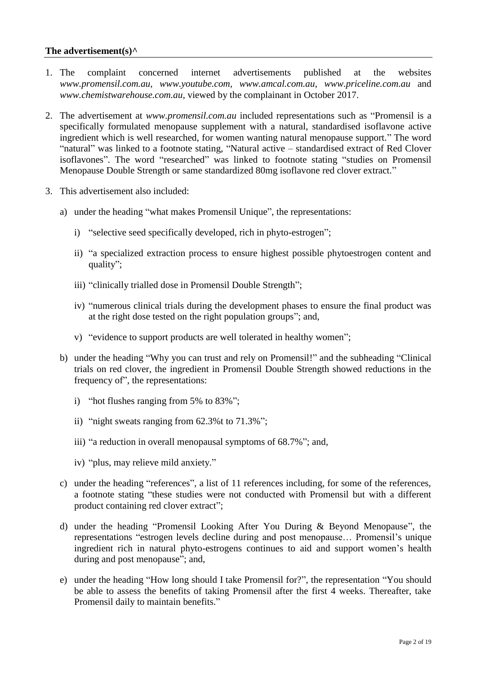# **The advertisement(s)^**

- 1. The complaint concerned internet advertisements published at the websites *www.promensil.com.au, www.youtube.com, www.amcal.com.au, www.priceline.com.au* and *www.chemistwarehouse.com.au,* viewed by the complainant in October 2017.
- 2. The advertisement at *www.promensil.com.au* included representations such as "Promensil is a specifically formulated menopause supplement with a natural, standardised isoflavone active ingredient which is well researched, for women wanting natural menopause support." The word "natural" was linked to a footnote stating, "Natural active – standardised extract of Red Clover isoflavones". The word "researched" was linked to footnote stating "studies on Promensil Menopause Double Strength or same standardized 80mg isoflavone red clover extract."
- 3. This advertisement also included:
	- a) under the heading "what makes Promensil Unique", the representations:
		- i) "selective seed specifically developed, rich in phyto-estrogen";
		- ii) "a specialized extraction process to ensure highest possible phytoestrogen content and quality";
		- iii) "clinically trialled dose in Promensil Double Strength";
		- iv) "numerous clinical trials during the development phases to ensure the final product was at the right dose tested on the right population groups"; and,
		- v) "evidence to support products are well tolerated in healthy women";
	- b) under the heading "Why you can trust and rely on Promensil!" and the subheading "Clinical trials on red clover, the ingredient in Promensil Double Strength showed reductions in the frequency of", the representations:
		- i) "hot flushes ranging from 5% to 83%";
		- ii) "night sweats ranging from 62.3%t to 71.3%";
		- iii) "a reduction in overall menopausal symptoms of 68.7%"; and,
		- iv) "plus, may relieve mild anxiety."
	- c) under the heading "references", a list of 11 references including, for some of the references, a footnote stating "these studies were not conducted with Promensil but with a different product containing red clover extract";
	- d) under the heading "Promensil Looking After You During & Beyond Menopause", the representations "estrogen levels decline during and post menopause… Promensil's unique ingredient rich in natural phyto-estrogens continues to aid and support women's health during and post menopause"; and,
	- e) under the heading "How long should I take Promensil for?", the representation "You should be able to assess the benefits of taking Promensil after the first 4 weeks. Thereafter, take Promensil daily to maintain benefits."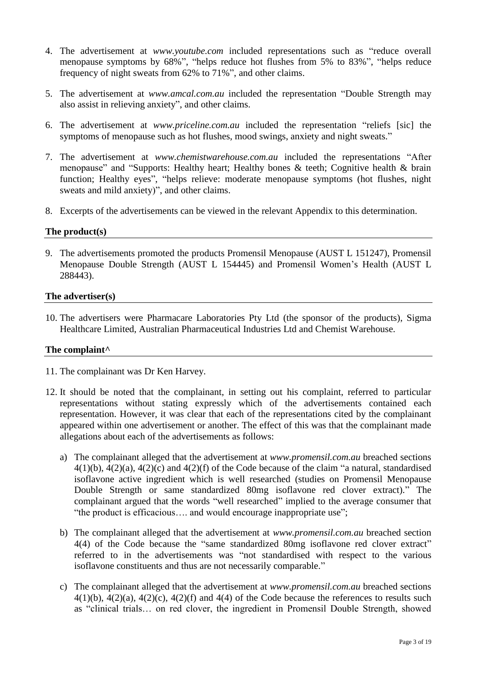- 4. The advertisement at *www.youtube.com* included representations such as "reduce overall menopause symptoms by 68%", "helps reduce hot flushes from 5% to 83%", "helps reduce frequency of night sweats from 62% to 71%", and other claims.
- 5. The advertisement at *www.amcal.com.au* included the representation "Double Strength may also assist in relieving anxiety", and other claims.
- 6. The advertisement at *www.priceline.com.au* included the representation "reliefs [sic] the symptoms of menopause such as hot flushes, mood swings, anxiety and night sweats."
- 7. The advertisement at *www.chemistwarehouse.com.au* included the representations "After menopause" and "Supports: Healthy heart; Healthy bones & teeth; Cognitive health & brain function; Healthy eyes", "helps relieve: moderate menopause symptoms (hot flushes, night sweats and mild anxiety)", and other claims.
- 8. Excerpts of the advertisements can be viewed in the relevant Appendix to this determination.

# **The product(s)**

9. The advertisements promoted the products Promensil Menopause (AUST L 151247), Promensil Menopause Double Strength (AUST L 154445) and Promensil Women's Health (AUST L 288443).

## **The advertiser(s)**

10. The advertisers were Pharmacare Laboratories Pty Ltd (the sponsor of the products), Sigma Healthcare Limited, Australian Pharmaceutical Industries Ltd and Chemist Warehouse.

# **The complaint^**

- 11. The complainant was Dr Ken Harvey.
- 12. It should be noted that the complainant, in setting out his complaint, referred to particular representations without stating expressly which of the advertisements contained each representation. However, it was clear that each of the representations cited by the complainant appeared within one advertisement or another. The effect of this was that the complainant made allegations about each of the advertisements as follows:
	- a) The complainant alleged that the advertisement at *www.promensil.com.au* breached sections 4(1)(b), 4(2)(a), 4(2)(c) and 4(2)(f) of the Code because of the claim "a natural, standardised isoflavone active ingredient which is well researched (studies on Promensil Menopause Double Strength or same standardized 80mg isoflavone red clover extract)." The complainant argued that the words "well researched" implied to the average consumer that "the product is efficacious…. and would encourage inappropriate use";
	- b) The complainant alleged that the advertisement at *www.promensil.com.au* breached section 4(4) of the Code because the "same standardized 80mg isoflavone red clover extract" referred to in the advertisements was "not standardised with respect to the various isoflavone constituents and thus are not necessarily comparable."
	- c) The complainant alleged that the advertisement at *www.promensil.com.au* breached sections  $4(1)(b)$ ,  $4(2)(a)$ ,  $4(2)(c)$ ,  $4(2)(f)$  and  $4(4)$  of the Code because the references to results such as "clinical trials… on red clover, the ingredient in Promensil Double Strength, showed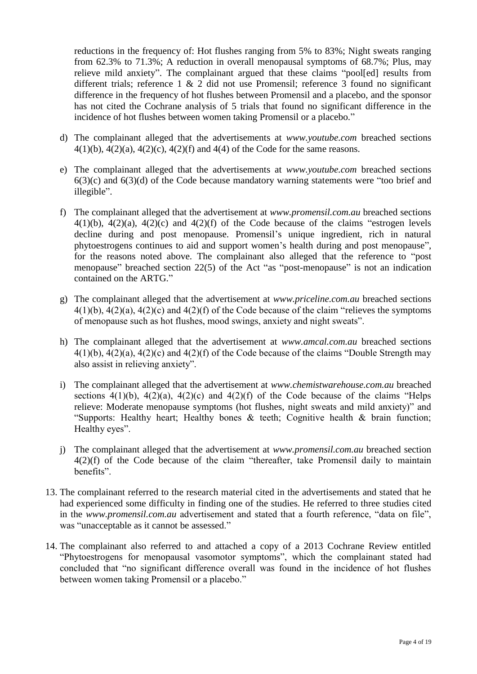reductions in the frequency of: Hot flushes ranging from 5% to 83%; Night sweats ranging from 62.3% to 71.3%; A reduction in overall menopausal symptoms of 68.7%; Plus, may relieve mild anxiety". The complainant argued that these claims "pool[ed] results from different trials; reference 1 & 2 did not use Promensil; reference 3 found no significant difference in the frequency of hot flushes between Promensil and a placebo, and the sponsor has not cited the Cochrane analysis of 5 trials that found no significant difference in the incidence of hot flushes between women taking Promensil or a placebo."

- d) The complainant alleged that the advertisements at *www.youtube.com* breached sections  $4(1)(b)$ ,  $4(2)(a)$ ,  $4(2)(c)$ ,  $4(2)(f)$  and  $4(4)$  of the Code for the same reasons.
- e) The complainant alleged that the advertisements at *www.youtube.com* breached sections  $6(3)(c)$  and  $6(3)(d)$  of the Code because mandatory warning statements were "too brief and illegible".
- f) The complainant alleged that the advertisement at *www.promensil.com.au* breached sections  $4(1)(b)$ ,  $4(2)(a)$ ,  $4(2)(c)$  and  $4(2)(f)$  of the Code because of the claims "estrogen levels decline during and post menopause. Promensil's unique ingredient, rich in natural phytoestrogens continues to aid and support women's health during and post menopause", for the reasons noted above. The complainant also alleged that the reference to "post menopause" breached section 22(5) of the Act "as "post-menopause" is not an indication contained on the ARTG."
- g) The complainant alleged that the advertisement at *www.priceline.com.au* breached sections  $4(1)(b)$ ,  $4(2)(a)$ ,  $4(2)(c)$  and  $4(2)(f)$  of the Code because of the claim "relieves the symptoms" of menopause such as hot flushes, mood swings, anxiety and night sweats".
- h) The complainant alleged that the advertisement at *www.amcal.com.au* breached sections  $4(1)(b)$ ,  $4(2)(a)$ ,  $4(2)(c)$  and  $4(2)(f)$  of the Code because of the claims "Double Strength may also assist in relieving anxiety".
- i) The complainant alleged that the advertisement at *www.chemistwarehouse.com.au* breached sections  $4(1)(b)$ ,  $4(2)(a)$ ,  $4(2)(c)$  and  $4(2)(f)$  of the Code because of the claims "Helps relieve: Moderate menopause symptoms (hot flushes, night sweats and mild anxiety)" and "Supports: Healthy heart; Healthy bones & teeth; Cognitive health & brain function; Healthy eyes".
- j) The complainant alleged that the advertisement at *www.promensil.com.au* breached section 4(2)(f) of the Code because of the claim "thereafter, take Promensil daily to maintain benefits".
- 13. The complainant referred to the research material cited in the advertisements and stated that he had experienced some difficulty in finding one of the studies. He referred to three studies cited in the *www.promensil.com.au* advertisement and stated that a fourth reference, "data on file", was "unacceptable as it cannot be assessed."
- 14. The complainant also referred to and attached a copy of a 2013 Cochrane Review entitled "Phytoestrogens for menopausal vasomotor symptoms", which the complainant stated had concluded that "no significant difference overall was found in the incidence of hot flushes between women taking Promensil or a placebo."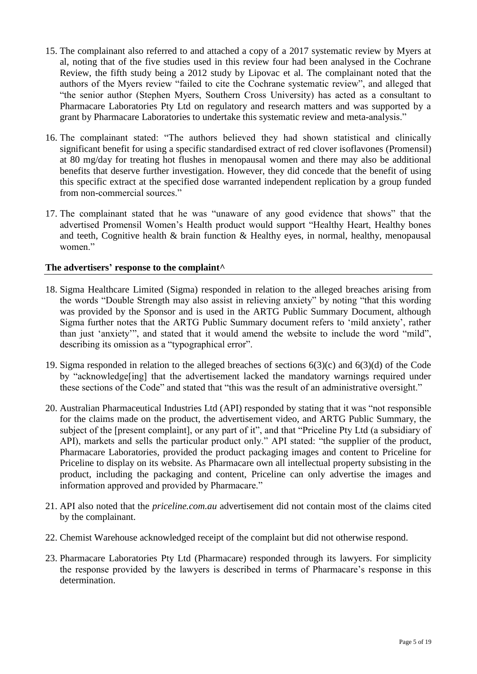- 15. The complainant also referred to and attached a copy of a 2017 systematic review by Myers at al, noting that of the five studies used in this review four had been analysed in the Cochrane Review, the fifth study being a 2012 study by Lipovac et al. The complainant noted that the authors of the Myers review "failed to cite the Cochrane systematic review", and alleged that "the senior author (Stephen Myers, Southern Cross University) has acted as a consultant to Pharmacare Laboratories Pty Ltd on regulatory and research matters and was supported by a grant by Pharmacare Laboratories to undertake this systematic review and meta-analysis."
- 16. The complainant stated: "The authors believed they had shown statistical and clinically significant benefit for using a specific standardised extract of red clover isoflavones (Promensil) at 80 mg/day for treating hot flushes in menopausal women and there may also be additional benefits that deserve further investigation. However, they did concede that the benefit of using this specific extract at the specified dose warranted independent replication by a group funded from non-commercial sources."
- 17. The complainant stated that he was "unaware of any good evidence that shows" that the advertised Promensil Women's Health product would support "Healthy Heart, Healthy bones and teeth, Cognitive health & brain function & Healthy eyes, in normal, healthy, menopausal women."

# **The advertisers' response to the complaint^**

- 18. Sigma Healthcare Limited (Sigma) responded in relation to the alleged breaches arising from the words "Double Strength may also assist in relieving anxiety" by noting "that this wording was provided by the Sponsor and is used in the ARTG Public Summary Document, although Sigma further notes that the ARTG Public Summary document refers to 'mild anxiety', rather than just 'anxiety'", and stated that it would amend the website to include the word "mild", describing its omission as a "typographical error".
- 19. Sigma responded in relation to the alleged breaches of sections 6(3)(c) and 6(3)(d) of the Code by "acknowledge[ing] that the advertisement lacked the mandatory warnings required under these sections of the Code" and stated that "this was the result of an administrative oversight."
- 20. Australian Pharmaceutical Industries Ltd (API) responded by stating that it was "not responsible for the claims made on the product, the advertisement video, and ARTG Public Summary, the subject of the [present complaint], or any part of it", and that "Priceline Pty Ltd (a subsidiary of API), markets and sells the particular product only." API stated: "the supplier of the product, Pharmacare Laboratories, provided the product packaging images and content to Priceline for Priceline to display on its website. As Pharmacare own all intellectual property subsisting in the product, including the packaging and content, Priceline can only advertise the images and information approved and provided by Pharmacare."
- 21. API also noted that the *priceline.com.au* advertisement did not contain most of the claims cited by the complainant.
- 22. Chemist Warehouse acknowledged receipt of the complaint but did not otherwise respond.
- 23. Pharmacare Laboratories Pty Ltd (Pharmacare) responded through its lawyers. For simplicity the response provided by the lawyers is described in terms of Pharmacare's response in this determination.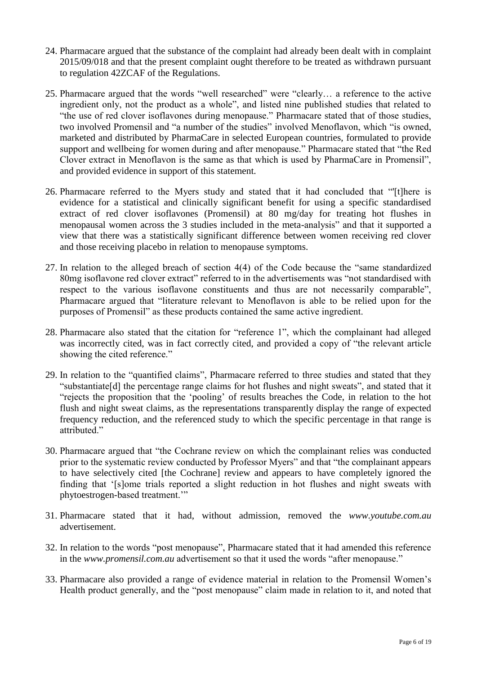- 24. Pharmacare argued that the substance of the complaint had already been dealt with in complaint 2015/09/018 and that the present complaint ought therefore to be treated as withdrawn pursuant to regulation 42ZCAF of the Regulations.
- 25. Pharmacare argued that the words "well researched" were "clearly… a reference to the active ingredient only, not the product as a whole", and listed nine published studies that related to "the use of red clover isoflavones during menopause." Pharmacare stated that of those studies, two involved Promensil and "a number of the studies" involved Menoflavon, which "is owned, marketed and distributed by PharmaCare in selected European countries, formulated to provide support and wellbeing for women during and after menopause." Pharmacare stated that "the Red Clover extract in Menoflavon is the same as that which is used by PharmaCare in Promensil", and provided evidence in support of this statement.
- 26. Pharmacare referred to the Myers study and stated that it had concluded that "'[t]here is evidence for a statistical and clinically significant benefit for using a specific standardised extract of red clover isoflavones (Promensil) at 80 mg/day for treating hot flushes in menopausal women across the 3 studies included in the meta-analysis" and that it supported a view that there was a statistically significant difference between women receiving red clover and those receiving placebo in relation to menopause symptoms.
- 27. In relation to the alleged breach of section 4(4) of the Code because the "same standardized 80mg isoflavone red clover extract" referred to in the advertisements was "not standardised with respect to the various isoflavone constituents and thus are not necessarily comparable", Pharmacare argued that "literature relevant to Menoflavon is able to be relied upon for the purposes of Promensil" as these products contained the same active ingredient.
- 28. Pharmacare also stated that the citation for "reference 1", which the complainant had alleged was incorrectly cited, was in fact correctly cited, and provided a copy of "the relevant article showing the cited reference."
- 29. In relation to the "quantified claims", Pharmacare referred to three studies and stated that they "substantiate[d] the percentage range claims for hot flushes and night sweats", and stated that it "rejects the proposition that the 'pooling' of results breaches the Code, in relation to the hot flush and night sweat claims, as the representations transparently display the range of expected frequency reduction, and the referenced study to which the specific percentage in that range is attributed."
- 30. Pharmacare argued that "the Cochrane review on which the complainant relies was conducted prior to the systematic review conducted by Professor Myers" and that "the complainant appears to have selectively cited [the Cochrane] review and appears to have completely ignored the finding that '[s]ome trials reported a slight reduction in hot flushes and night sweats with phytoestrogen-based treatment.'"
- 31. Pharmacare stated that it had, without admission, removed the *www.youtube.com.au* advertisement.
- 32. In relation to the words "post menopause", Pharmacare stated that it had amended this reference in the *www.promensil.com.au* advertisement so that it used the words "after menopause."
- 33. Pharmacare also provided a range of evidence material in relation to the Promensil Women's Health product generally, and the "post menopause" claim made in relation to it, and noted that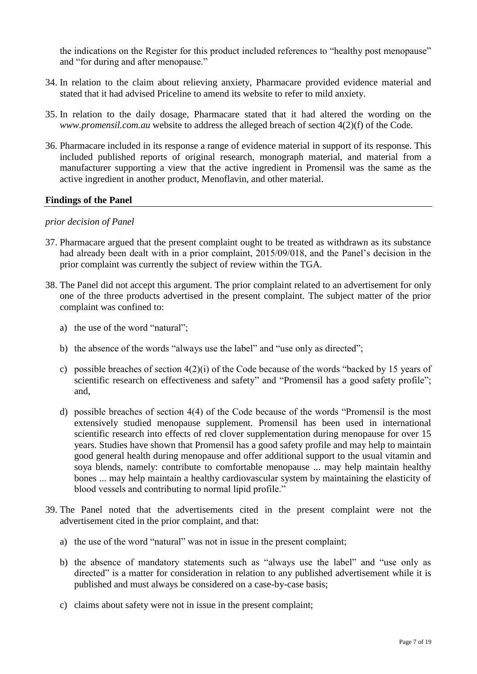the indications on the Register for this product included references to "healthy post menopause" and "for during and after menopause."

- 34. In relation to the claim about relieving anxiety, Pharmacare provided evidence material and stated that it had advised Priceline to amend its website to refer to mild anxiety.
- 35. In relation to the daily dosage, Pharmacare stated that it had altered the wording on the *www.promensil.com.au* website to address the alleged breach of section 4(2)(f) of the Code.
- 36. Pharmacare included in its response a range of evidence material in support of its response. This included published reports of original research, monograph material, and material from a manufacturer supporting a view that the active ingredient in Promensil was the same as the active ingredient in another product, Menoflavin, and other material.

## **Findings of the Panel**

## *prior decision of Panel*

- 37. Pharmacare argued that the present complaint ought to be treated as withdrawn as its substance had already been dealt with in a prior complaint, 2015/09/018, and the Panel's decision in the prior complaint was currently the subject of review within the TGA.
- 38. The Panel did not accept this argument. The prior complaint related to an advertisement for only one of the three products advertised in the present complaint. The subject matter of the prior complaint was confined to:
	- a) the use of the word "natural";
	- b) the absence of the words "always use the label" and "use only as directed";
	- c) possible breaches of section 4(2)(i) of the Code because of the words "backed by 15 years of scientific research on effectiveness and safety" and "Promensil has a good safety profile"; and,
	- d) possible breaches of section 4(4) of the Code because of the words "Promensil is the most extensively studied menopause supplement. Promensil has been used in international scientific research into effects of red clover supplementation during menopause for over 15 years. Studies have shown that Promensil has a good safety profile and may help to maintain good general health during menopause and offer additional support to the usual vitamin and soya blends, namely: contribute to comfortable menopause ... may help maintain healthy bones ... may help maintain a healthy cardiovascular system by maintaining the elasticity of blood vessels and contributing to normal lipid profile."
- 39. The Panel noted that the advertisements cited in the present complaint were not the advertisement cited in the prior complaint, and that:
	- a) the use of the word "natural" was not in issue in the present complaint;
	- b) the absence of mandatory statements such as "always use the label" and "use only as directed" is a matter for consideration in relation to any published advertisement while it is published and must always be considered on a case-by-case basis;
	- c) claims about safety were not in issue in the present complaint;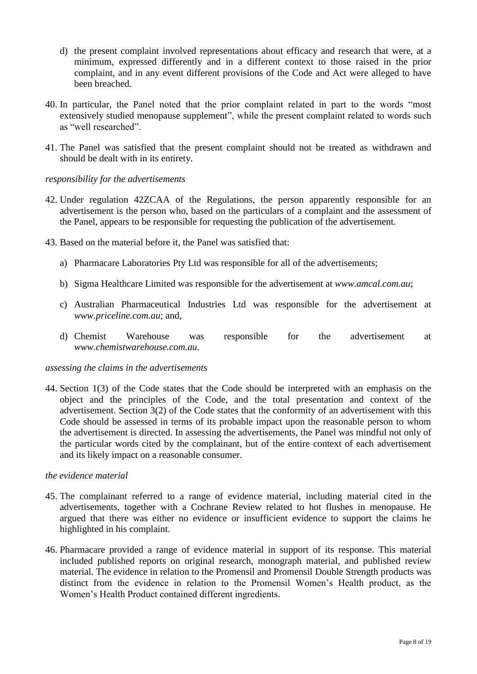- d) the present complaint involved representations about efficacy and research that were, at a minimum, expressed differently and in a different context to those raised in the prior complaint, and in any event different provisions of the Code and Act were alleged to have been breached.
- 40. In particular, the Panel noted that the prior complaint related in part to the words "most extensively studied menopause supplement", while the present complaint related to words such as "well researched".
- 41. The Panel was satisfied that the present complaint should not be treated as withdrawn and should be dealt with in its entirety.

# *responsibility for the advertisements*

- 42. Under regulation 42ZCAA of the Regulations, the person apparently responsible for an advertisement is the person who, based on the particulars of a complaint and the assessment of the Panel, appears to be responsible for requesting the publication of the advertisement.
- 43. Based on the material before it, the Panel was satisfied that:
	- a) Pharmacare Laboratories Pty Ltd was responsible for all of the advertisements;
	- b) Sigma Healthcare Limited was responsible for the advertisement at *www.amcal.com.au*;
	- c) Australian Pharmaceutical Industries Ltd was responsible for the advertisement at *www.priceline.com.au*; and,
	- d) Chemist Warehouse was responsible for the advertisement at *www.chemistwarehouse.com.au*.

# *assessing the claims in the advertisements*

44. Section 1(3) of the Code states that the Code should be interpreted with an emphasis on the object and the principles of the Code, and the total presentation and context of the advertisement. Section 3(2) of the Code states that the conformity of an advertisement with this Code should be assessed in terms of its probable impact upon the reasonable person to whom the advertisement is directed. In assessing the advertisements, the Panel was mindful not only of the particular words cited by the complainant, but of the entire context of each advertisement and its likely impact on a reasonable consumer.

## *the evidence material*

- 45. The complainant referred to a range of evidence material, including material cited in the advertisements, together with a Cochrane Review related to hot flushes in menopause. He argued that there was either no evidence or insufficient evidence to support the claims he highlighted in his complaint.
- 46. Pharmacare provided a range of evidence material in support of its response. This material included published reports on original research, monograph material, and published review material. The evidence in relation to the Promensil and Promensil Double Strength products was distinct from the evidence in relation to the Promensil Women's Health product, as the Women's Health Product contained different ingredients.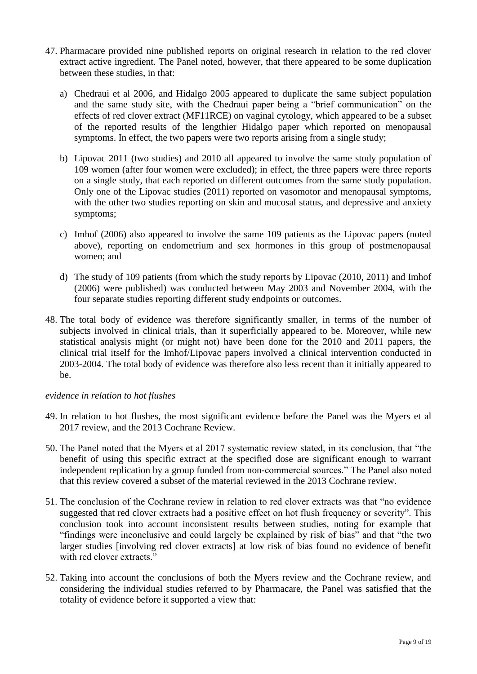- 47. Pharmacare provided nine published reports on original research in relation to the red clover extract active ingredient. The Panel noted, however, that there appeared to be some duplication between these studies, in that:
	- a) Chedraui et al 2006, and Hidalgo 2005 appeared to duplicate the same subject population and the same study site, with the Chedraui paper being a "brief communication" on the effects of red clover extract (MF11RCE) on vaginal cytology, which appeared to be a subset of the reported results of the lengthier Hidalgo paper which reported on menopausal symptoms. In effect, the two papers were two reports arising from a single study;
	- b) Lipovac 2011 (two studies) and 2010 all appeared to involve the same study population of 109 women (after four women were excluded); in effect, the three papers were three reports on a single study, that each reported on different outcomes from the same study population. Only one of the Lipovac studies (2011) reported on vasomotor and menopausal symptoms, with the other two studies reporting on skin and mucosal status, and depressive and anxiety symptoms;
	- c) Imhof (2006) also appeared to involve the same 109 patients as the Lipovac papers (noted above), reporting on endometrium and sex hormones in this group of postmenopausal women; and
	- d) The study of 109 patients (from which the study reports by Lipovac (2010, 2011) and Imhof (2006) were published) was conducted between May 2003 and November 2004, with the four separate studies reporting different study endpoints or outcomes.
- 48. The total body of evidence was therefore significantly smaller, in terms of the number of subjects involved in clinical trials, than it superficially appeared to be. Moreover, while new statistical analysis might (or might not) have been done for the 2010 and 2011 papers, the clinical trial itself for the Imhof/Lipovac papers involved a clinical intervention conducted in 2003-2004. The total body of evidence was therefore also less recent than it initially appeared to be.

# *evidence in relation to hot flushes*

- 49. In relation to hot flushes, the most significant evidence before the Panel was the Myers et al 2017 review, and the 2013 Cochrane Review.
- 50. The Panel noted that the Myers et al 2017 systematic review stated, in its conclusion, that "the benefit of using this specific extract at the specified dose are significant enough to warrant independent replication by a group funded from non-commercial sources." The Panel also noted that this review covered a subset of the material reviewed in the 2013 Cochrane review.
- 51. The conclusion of the Cochrane review in relation to red clover extracts was that "no evidence suggested that red clover extracts had a positive effect on hot flush frequency or severity". This conclusion took into account inconsistent results between studies, noting for example that "findings were inconclusive and could largely be explained by risk of bias" and that "the two larger studies [involving red clover extracts] at low risk of bias found no evidence of benefit with red clover extracts."
- 52. Taking into account the conclusions of both the Myers review and the Cochrane review, and considering the individual studies referred to by Pharmacare, the Panel was satisfied that the totality of evidence before it supported a view that: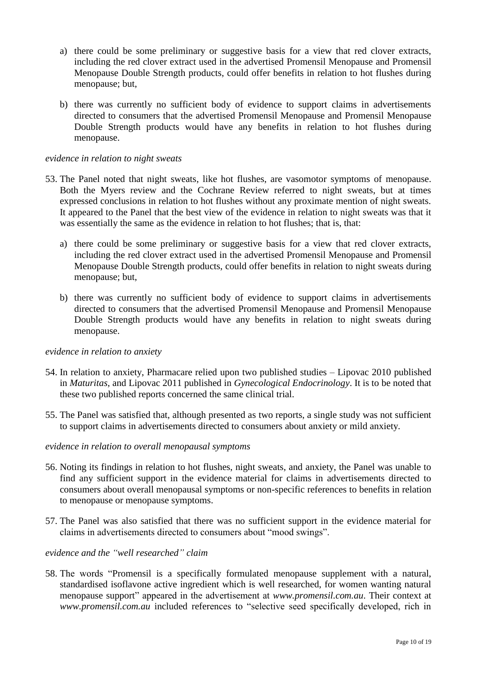- a) there could be some preliminary or suggestive basis for a view that red clover extracts, including the red clover extract used in the advertised Promensil Menopause and Promensil Menopause Double Strength products, could offer benefits in relation to hot flushes during menopause; but,
- b) there was currently no sufficient body of evidence to support claims in advertisements directed to consumers that the advertised Promensil Menopause and Promensil Menopause Double Strength products would have any benefits in relation to hot flushes during menopause.

## *evidence in relation to night sweats*

- 53. The Panel noted that night sweats, like hot flushes, are vasomotor symptoms of menopause. Both the Myers review and the Cochrane Review referred to night sweats, but at times expressed conclusions in relation to hot flushes without any proximate mention of night sweats. It appeared to the Panel that the best view of the evidence in relation to night sweats was that it was essentially the same as the evidence in relation to hot flushes; that is, that:
	- a) there could be some preliminary or suggestive basis for a view that red clover extracts, including the red clover extract used in the advertised Promensil Menopause and Promensil Menopause Double Strength products, could offer benefits in relation to night sweats during menopause; but,
	- b) there was currently no sufficient body of evidence to support claims in advertisements directed to consumers that the advertised Promensil Menopause and Promensil Menopause Double Strength products would have any benefits in relation to night sweats during menopause.

## *evidence in relation to anxiety*

- 54. In relation to anxiety, Pharmacare relied upon two published studies Lipovac 2010 published in *Maturitas*, and Lipovac 2011 published in *Gynecological Endocrinology*. It is to be noted that these two published reports concerned the same clinical trial.
- 55. The Panel was satisfied that, although presented as two reports, a single study was not sufficient to support claims in advertisements directed to consumers about anxiety or mild anxiety.

## *evidence in relation to overall menopausal symptoms*

- 56. Noting its findings in relation to hot flushes, night sweats, and anxiety, the Panel was unable to find any sufficient support in the evidence material for claims in advertisements directed to consumers about overall menopausal symptoms or non-specific references to benefits in relation to menopause or menopause symptoms.
- 57. The Panel was also satisfied that there was no sufficient support in the evidence material for claims in advertisements directed to consumers about "mood swings".

## *evidence and the "well researched" claim*

58. The words "Promensil is a specifically formulated menopause supplement with a natural, standardised isoflavone active ingredient which is well researched, for women wanting natural menopause support" appeared in the advertisement at *www.promensil.com.au*. Their context at *www.promensil.com.au* included references to "selective seed specifically developed, rich in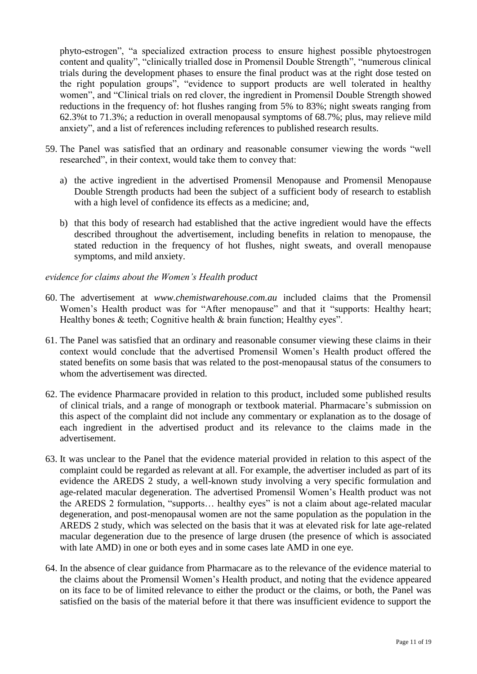phyto-estrogen", "a specialized extraction process to ensure highest possible phytoestrogen content and quality", "clinically trialled dose in Promensil Double Strength", "numerous clinical trials during the development phases to ensure the final product was at the right dose tested on the right population groups", "evidence to support products are well tolerated in healthy women", and "Clinical trials on red clover, the ingredient in Promensil Double Strength showed reductions in the frequency of: hot flushes ranging from 5% to 83%; night sweats ranging from 62.3%t to 71.3%; a reduction in overall menopausal symptoms of 68.7%; plus, may relieve mild anxiety", and a list of references including references to published research results.

- 59. The Panel was satisfied that an ordinary and reasonable consumer viewing the words "well researched", in their context, would take them to convey that:
	- a) the active ingredient in the advertised Promensil Menopause and Promensil Menopause Double Strength products had been the subject of a sufficient body of research to establish with a high level of confidence its effects as a medicine; and,
	- b) that this body of research had established that the active ingredient would have the effects described throughout the advertisement, including benefits in relation to menopause, the stated reduction in the frequency of hot flushes, night sweats, and overall menopause symptoms, and mild anxiety.

# *evidence for claims about the Women's Health product*

- 60. The advertisement at *www.chemistwarehouse.com.au* included claims that the Promensil Women's Health product was for "After menopause" and that it "supports: Healthy heart; Healthy bones  $\&$  teeth; Cognitive health  $\&$  brain function; Healthy eyes".
- 61. The Panel was satisfied that an ordinary and reasonable consumer viewing these claims in their context would conclude that the advertised Promensil Women's Health product offered the stated benefits on some basis that was related to the post-menopausal status of the consumers to whom the advertisement was directed.
- 62. The evidence Pharmacare provided in relation to this product, included some published results of clinical trials, and a range of monograph or textbook material. Pharmacare's submission on this aspect of the complaint did not include any commentary or explanation as to the dosage of each ingredient in the advertised product and its relevance to the claims made in the advertisement.
- 63. It was unclear to the Panel that the evidence material provided in relation to this aspect of the complaint could be regarded as relevant at all. For example, the advertiser included as part of its evidence the AREDS 2 study, a well-known study involving a very specific formulation and age-related macular degeneration. The advertised Promensil Women's Health product was not the AREDS 2 formulation, "supports… healthy eyes" is not a claim about age-related macular degeneration, and post-menopausal women are not the same population as the population in the AREDS 2 study, which was selected on the basis that it was at elevated risk for late age-related macular degeneration due to the presence of large drusen (the presence of which is associated with late AMD) in one or both eyes and in some cases late AMD in one eye.
- 64. In the absence of clear guidance from Pharmacare as to the relevance of the evidence material to the claims about the Promensil Women's Health product, and noting that the evidence appeared on its face to be of limited relevance to either the product or the claims, or both, the Panel was satisfied on the basis of the material before it that there was insufficient evidence to support the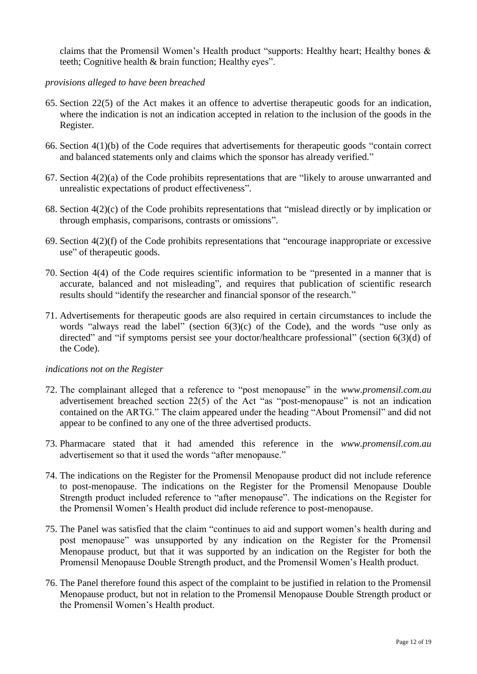claims that the Promensil Women's Health product "supports: Healthy heart; Healthy bones & teeth; Cognitive health & brain function; Healthy eyes".

# *provisions alleged to have been breached*

- 65. Section 22(5) of the Act makes it an offence to advertise therapeutic goods for an indication, where the indication is not an indication accepted in relation to the inclusion of the goods in the Register.
- 66. Section 4(1)(b) of the Code requires that advertisements for therapeutic goods "contain correct and balanced statements only and claims which the sponsor has already verified."
- 67. Section 4(2)(a) of the Code prohibits representations that are "likely to arouse unwarranted and unrealistic expectations of product effectiveness".
- 68. Section 4(2)(c) of the Code prohibits representations that "mislead directly or by implication or through emphasis, comparisons, contrasts or omissions".
- 69. Section 4(2)(f) of the Code prohibits representations that "encourage inappropriate or excessive use" of therapeutic goods.
- 70. Section 4(4) of the Code requires scientific information to be "presented in a manner that is accurate, balanced and not misleading", and requires that publication of scientific research results should "identify the researcher and financial sponsor of the research."
- 71. Advertisements for therapeutic goods are also required in certain circumstances to include the words "always read the label" (section  $6(3)(c)$  of the Code), and the words "use only as directed" and "if symptoms persist see your doctor/healthcare professional" (section 6(3)(d) of the Code).

# *indications not on the Register*

- 72. The complainant alleged that a reference to "post menopause" in the *www.promensil.com.au*  advertisement breached section 22(5) of the Act "as "post-menopause" is not an indication contained on the ARTG." The claim appeared under the heading "About Promensil" and did not appear to be confined to any one of the three advertised products.
- 73. Pharmacare stated that it had amended this reference in the *www.promensil.com.au* advertisement so that it used the words "after menopause."
- 74. The indications on the Register for the Promensil Menopause product did not include reference to post-menopause. The indications on the Register for the Promensil Menopause Double Strength product included reference to "after menopause". The indications on the Register for the Promensil Women's Health product did include reference to post-menopause.
- 75. The Panel was satisfied that the claim "continues to aid and support women's health during and post menopause" was unsupported by any indication on the Register for the Promensil Menopause product, but that it was supported by an indication on the Register for both the Promensil Menopause Double Strength product, and the Promensil Women's Health product.
- 76. The Panel therefore found this aspect of the complaint to be justified in relation to the Promensil Menopause product, but not in relation to the Promensil Menopause Double Strength product or the Promensil Women's Health product.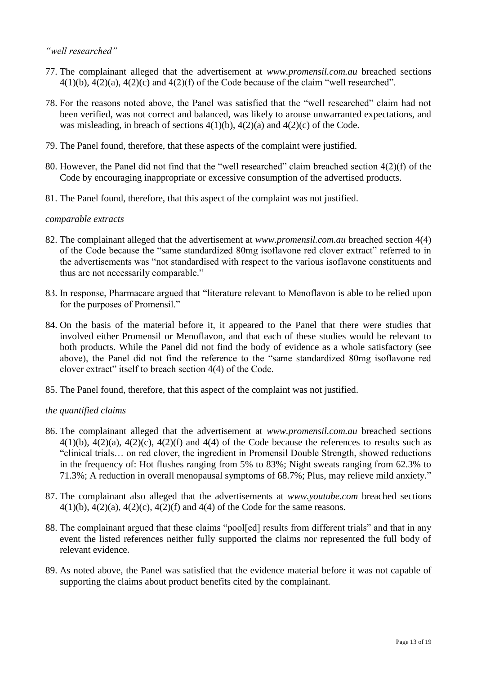# *"well researched"*

- 77. The complainant alleged that the advertisement at *www.promensil.com.au* breached sections  $4(1)(b)$ ,  $4(2)(a)$ ,  $4(2)(c)$  and  $4(2)(f)$  of the Code because of the claim "well researched".
- 78. For the reasons noted above, the Panel was satisfied that the "well researched" claim had not been verified, was not correct and balanced, was likely to arouse unwarranted expectations, and was misleading, in breach of sections  $4(1)(b)$ ,  $4(2)(a)$  and  $4(2)(c)$  of the Code.
- 79. The Panel found, therefore, that these aspects of the complaint were justified.
- 80. However, the Panel did not find that the "well researched" claim breached section 4(2)(f) of the Code by encouraging inappropriate or excessive consumption of the advertised products.
- 81. The Panel found, therefore, that this aspect of the complaint was not justified.

## *comparable extracts*

- 82. The complainant alleged that the advertisement at *www.promensil.com.au* breached section 4(4) of the Code because the "same standardized 80mg isoflavone red clover extract" referred to in the advertisements was "not standardised with respect to the various isoflavone constituents and thus are not necessarily comparable."
- 83. In response, Pharmacare argued that "literature relevant to Menoflavon is able to be relied upon for the purposes of Promensil."
- 84. On the basis of the material before it, it appeared to the Panel that there were studies that involved either Promensil or Menoflavon, and that each of these studies would be relevant to both products. While the Panel did not find the body of evidence as a whole satisfactory (see above), the Panel did not find the reference to the "same standardized 80mg isoflavone red clover extract" itself to breach section 4(4) of the Code.
- 85. The Panel found, therefore, that this aspect of the complaint was not justified.

# *the quantified claims*

- 86. The complainant alleged that the advertisement at *www.promensil.com.au* breached sections  $4(1)(b)$ ,  $4(2)(a)$ ,  $4(2)(c)$ ,  $4(2)(f)$  and  $4(4)$  of the Code because the references to results such as "clinical trials… on red clover, the ingredient in Promensil Double Strength, showed reductions in the frequency of: Hot flushes ranging from 5% to 83%; Night sweats ranging from 62.3% to 71.3%; A reduction in overall menopausal symptoms of 68.7%; Plus, may relieve mild anxiety."
- 87. The complainant also alleged that the advertisements at *www.youtube.com* breached sections  $4(1)(b)$ ,  $4(2)(a)$ ,  $4(2)(c)$ ,  $4(2)(f)$  and  $4(4)$  of the Code for the same reasons.
- 88. The complainant argued that these claims "pool[ed] results from different trials" and that in any event the listed references neither fully supported the claims nor represented the full body of relevant evidence.
- 89. As noted above, the Panel was satisfied that the evidence material before it was not capable of supporting the claims about product benefits cited by the complainant.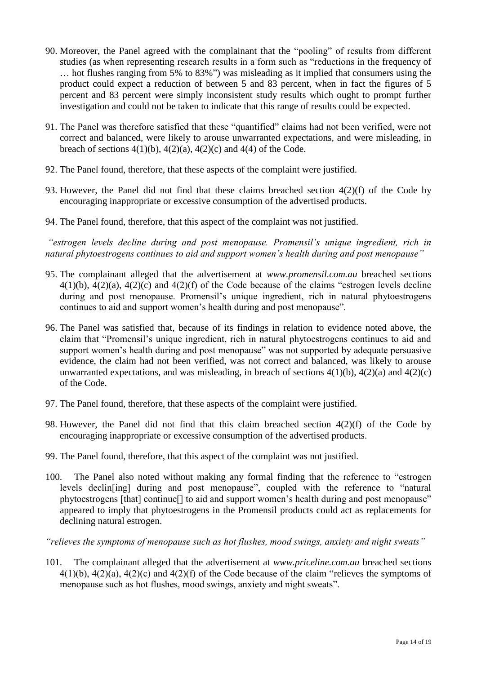- 90. Moreover, the Panel agreed with the complainant that the "pooling" of results from different studies (as when representing research results in a form such as "reductions in the frequency of … hot flushes ranging from 5% to 83%") was misleading as it implied that consumers using the product could expect a reduction of between 5 and 83 percent, when in fact the figures of 5 percent and 83 percent were simply inconsistent study results which ought to prompt further investigation and could not be taken to indicate that this range of results could be expected.
- 91. The Panel was therefore satisfied that these "quantified" claims had not been verified, were not correct and balanced, were likely to arouse unwarranted expectations, and were misleading, in breach of sections  $4(1)(b)$ ,  $4(2)(a)$ ,  $4(2)(c)$  and  $4(4)$  of the Code.
- 92. The Panel found, therefore, that these aspects of the complaint were justified.
- 93. However, the Panel did not find that these claims breached section 4(2)(f) of the Code by encouraging inappropriate or excessive consumption of the advertised products.
- 94. The Panel found, therefore, that this aspect of the complaint was not justified.

*"estrogen levels decline during and post menopause. Promensil's unique ingredient, rich in natural phytoestrogens continues to aid and support women's health during and post menopause"*

- 95. The complainant alleged that the advertisement at *www.promensil.com.au* breached sections 4(1)(b), 4(2)(a), 4(2)(c) and 4(2)(f) of the Code because of the claims "estrogen levels decline during and post menopause. Promensil's unique ingredient, rich in natural phytoestrogens continues to aid and support women's health during and post menopause".
- 96. The Panel was satisfied that, because of its findings in relation to evidence noted above, the claim that "Promensil's unique ingredient, rich in natural phytoestrogens continues to aid and support women's health during and post menopause" was not supported by adequate persuasive evidence, the claim had not been verified, was not correct and balanced, was likely to arouse unwarranted expectations, and was misleading, in breach of sections  $4(1)(b)$ ,  $4(2)(a)$  and  $4(2)(c)$ of the Code.
- 97. The Panel found, therefore, that these aspects of the complaint were justified.
- 98. However, the Panel did not find that this claim breached section 4(2)(f) of the Code by encouraging inappropriate or excessive consumption of the advertised products.
- 99. The Panel found, therefore, that this aspect of the complaint was not justified.
- 100. The Panel also noted without making any formal finding that the reference to "estrogen levels declin[ing] during and post menopause", coupled with the reference to "natural phytoestrogens [that] continue[] to aid and support women's health during and post menopause" appeared to imply that phytoestrogens in the Promensil products could act as replacements for declining natural estrogen.

*"relieves the symptoms of menopause such as hot flushes, mood swings, anxiety and night sweats"*

101. The complainant alleged that the advertisement at *www.priceline.com.au* breached sections 4(1)(b), 4(2)(a), 4(2)(c) and 4(2)(f) of the Code because of the claim "relieves the symptoms of menopause such as hot flushes, mood swings, anxiety and night sweats".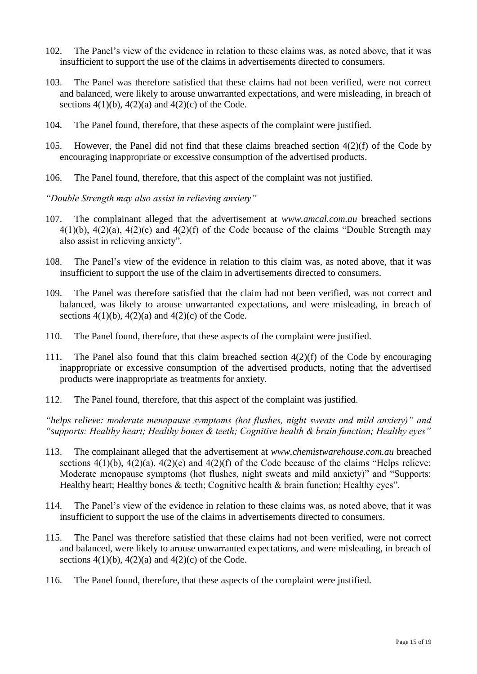- 102. The Panel's view of the evidence in relation to these claims was, as noted above, that it was insufficient to support the use of the claims in advertisements directed to consumers.
- 103. The Panel was therefore satisfied that these claims had not been verified, were not correct and balanced, were likely to arouse unwarranted expectations, and were misleading, in breach of sections  $4(1)(b)$ ,  $4(2)(a)$  and  $4(2)(c)$  of the Code.
- 104. The Panel found, therefore, that these aspects of the complaint were justified.
- 105. However, the Panel did not find that these claims breached section 4(2)(f) of the Code by encouraging inappropriate or excessive consumption of the advertised products.
- 106. The Panel found, therefore, that this aspect of the complaint was not justified.

*"Double Strength may also assist in relieving anxiety"*

- 107. The complainant alleged that the advertisement at *www.amcal.com.au* breached sections 4(1)(b), 4(2)(a), 4(2)(c) and 4(2)(f) of the Code because of the claims "Double Strength may also assist in relieving anxiety".
- 108. The Panel's view of the evidence in relation to this claim was, as noted above, that it was insufficient to support the use of the claim in advertisements directed to consumers.
- 109. The Panel was therefore satisfied that the claim had not been verified, was not correct and balanced, was likely to arouse unwarranted expectations, and were misleading, in breach of sections  $4(1)(b)$ ,  $4(2)(a)$  and  $4(2)(c)$  of the Code.
- 110. The Panel found, therefore, that these aspects of the complaint were justified.
- 111. The Panel also found that this claim breached section  $4(2)(f)$  of the Code by encouraging inappropriate or excessive consumption of the advertised products, noting that the advertised products were inappropriate as treatments for anxiety.
- 112. The Panel found, therefore, that this aspect of the complaint was justified.

*"helps relieve: moderate menopause symptoms (hot flushes, night sweats and mild anxiety)" and "supports: Healthy heart; Healthy bones & teeth; Cognitive health & brain function; Healthy eyes"*

- 113. The complainant alleged that the advertisement at *www.chemistwarehouse.com.au* breached sections  $4(1)(b)$ ,  $4(2)(a)$ ,  $4(2)(c)$  and  $4(2)(f)$  of the Code because of the claims "Helps relieve: Moderate menopause symptoms (hot flushes, night sweats and mild anxiety)" and "Supports: Healthy heart; Healthy bones & teeth; Cognitive health & brain function; Healthy eyes".
- 114. The Panel's view of the evidence in relation to these claims was, as noted above, that it was insufficient to support the use of the claims in advertisements directed to consumers.
- 115. The Panel was therefore satisfied that these claims had not been verified, were not correct and balanced, were likely to arouse unwarranted expectations, and were misleading, in breach of sections  $4(1)(b)$ ,  $4(2)(a)$  and  $4(2)(c)$  of the Code.
- 116. The Panel found, therefore, that these aspects of the complaint were justified.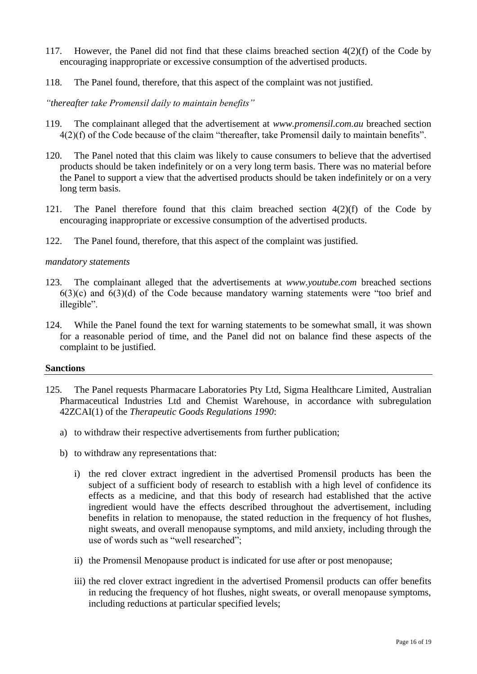- 117. However, the Panel did not find that these claims breached section 4(2)(f) of the Code by encouraging inappropriate or excessive consumption of the advertised products.
- 118. The Panel found, therefore, that this aspect of the complaint was not justified.

*"thereafter take Promensil daily to maintain benefits"*

- 119. The complainant alleged that the advertisement at *www.promensil.com.au* breached section 4(2)(f) of the Code because of the claim "thereafter, take Promensil daily to maintain benefits".
- 120. The Panel noted that this claim was likely to cause consumers to believe that the advertised products should be taken indefinitely or on a very long term basis. There was no material before the Panel to support a view that the advertised products should be taken indefinitely or on a very long term basis.
- 121. The Panel therefore found that this claim breached section  $4(2)(f)$  of the Code by encouraging inappropriate or excessive consumption of the advertised products.
- 122. The Panel found, therefore, that this aspect of the complaint was justified.

## *mandatory statements*

- 123. The complainant alleged that the advertisements at *www.youtube.com* breached sections  $6(3)(c)$  and  $6(3)(d)$  of the Code because mandatory warning statements were "too brief and illegible".
- 124. While the Panel found the text for warning statements to be somewhat small, it was shown for a reasonable period of time, and the Panel did not on balance find these aspects of the complaint to be justified.

## **Sanctions**

- 125. The Panel requests Pharmacare Laboratories Pty Ltd, Sigma Healthcare Limited, Australian Pharmaceutical Industries Ltd and Chemist Warehouse, in accordance with subregulation 42ZCAI(1) of the *Therapeutic Goods Regulations 1990*:
	- a) to withdraw their respective advertisements from further publication;
	- b) to withdraw any representations that:
		- i) the red clover extract ingredient in the advertised Promensil products has been the subject of a sufficient body of research to establish with a high level of confidence its effects as a medicine, and that this body of research had established that the active ingredient would have the effects described throughout the advertisement, including benefits in relation to menopause, the stated reduction in the frequency of hot flushes, night sweats, and overall menopause symptoms, and mild anxiety, including through the use of words such as "well researched";
		- ii) the Promensil Menopause product is indicated for use after or post menopause;
		- iii) the red clover extract ingredient in the advertised Promensil products can offer benefits in reducing the frequency of hot flushes, night sweats, or overall menopause symptoms, including reductions at particular specified levels;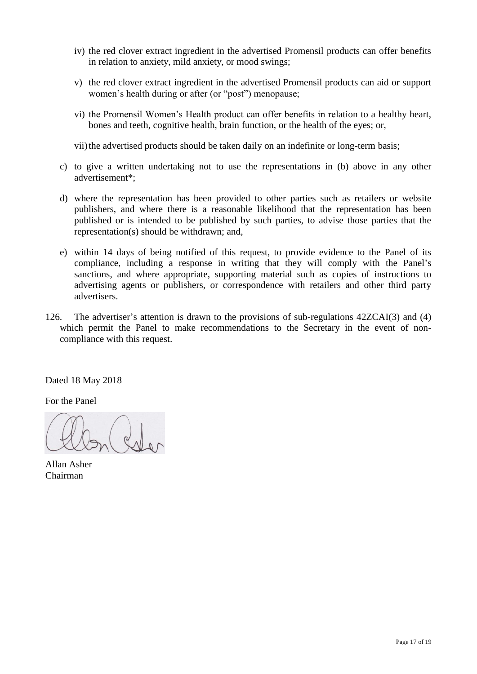- iv) the red clover extract ingredient in the advertised Promensil products can offer benefits in relation to anxiety, mild anxiety, or mood swings;
- v) the red clover extract ingredient in the advertised Promensil products can aid or support women's health during or after (or "post") menopause;
- vi) the Promensil Women's Health product can offer benefits in relation to a healthy heart, bones and teeth, cognitive health, brain function, or the health of the eyes; or,
- vii) the advertised products should be taken daily on an indefinite or long-term basis;
- c) to give a written undertaking not to use the representations in (b) above in any other advertisement\*;
- d) where the representation has been provided to other parties such as retailers or website publishers, and where there is a reasonable likelihood that the representation has been published or is intended to be published by such parties, to advise those parties that the representation(s) should be withdrawn; and,
- e) within 14 days of being notified of this request, to provide evidence to the Panel of its compliance, including a response in writing that they will comply with the Panel's sanctions, and where appropriate, supporting material such as copies of instructions to advertising agents or publishers, or correspondence with retailers and other third party advertisers.
- 126. The advertiser's attention is drawn to the provisions of sub-regulations 42ZCAI(3) and (4) which permit the Panel to make recommendations to the Secretary in the event of noncompliance with this request.

Dated 18 May 2018

For the Panel

 $d$ 

Allan Asher Chairman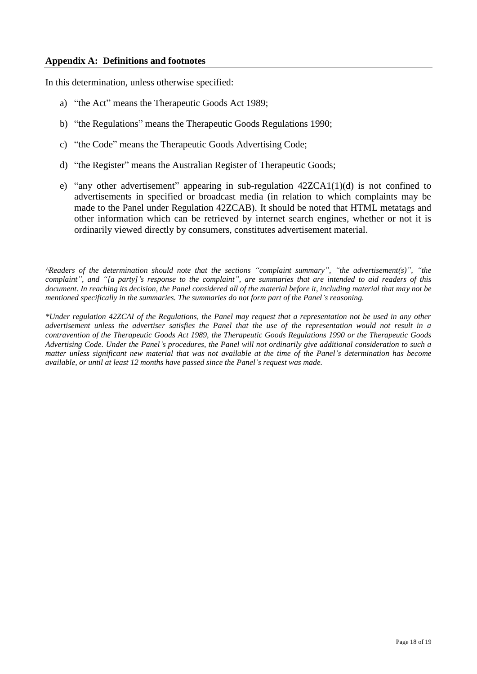In this determination, unless otherwise specified:

- a) "the Act" means the Therapeutic Goods Act 1989;
- b) "the Regulations" means the Therapeutic Goods Regulations 1990;
- c) "the Code" means the Therapeutic Goods Advertising Code;
- d) "the Register" means the Australian Register of Therapeutic Goods;
- e) "any other advertisement" appearing in sub-regulation  $42ZCA1(1)(d)$  is not confined to advertisements in specified or broadcast media (in relation to which complaints may be made to the Panel under Regulation 42ZCAB). It should be noted that HTML metatags and other information which can be retrieved by internet search engines, whether or not it is ordinarily viewed directly by consumers, constitutes advertisement material.

*^Readers of the determination should note that the sections "complaint summary", "the advertisement(s)", "the complaint", and "[a party]'s response to the complaint", are summaries that are intended to aid readers of this document. In reaching its decision, the Panel considered all of the material before it, including material that may not be mentioned specifically in the summaries. The summaries do not form part of the Panel's reasoning.* 

*\*Under regulation 42ZCAI of the Regulations, the Panel may request that a representation not be used in any other advertisement unless the advertiser satisfies the Panel that the use of the representation would not result in a contravention of the Therapeutic Goods Act 1989, the Therapeutic Goods Regulations 1990 or the Therapeutic Goods Advertising Code. Under the Panel's procedures, the Panel will not ordinarily give additional consideration to such a matter unless significant new material that was not available at the time of the Panel's determination has become available, or until at least 12 months have passed since the Panel's request was made.*